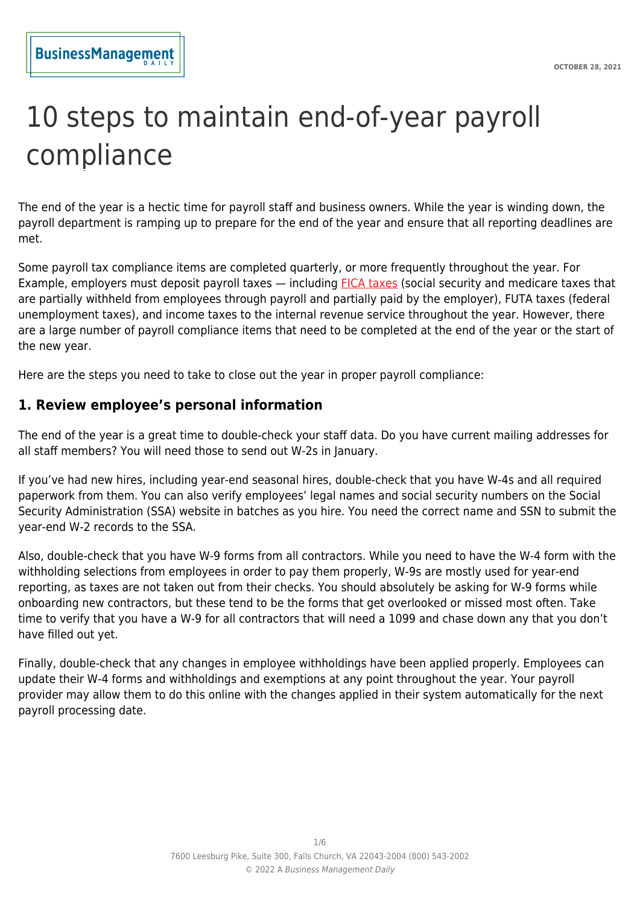# 10 steps to maintain end-of-year payroll compliance

The end of the year is a hectic time for payroll staff and business owners. While the year is winding down, the payroll department is ramping up to prepare for the end of the year and ensure that all reporting deadlines are met.

Some payroll tax compliance items are completed quarterly, or more frequently throughout the year. For Example, employers must deposit payroll taxes — including [FICA taxes](https://www.fundera.com/blog/fica-tax) (social security and medicare taxes that are partially withheld from employees through payroll and partially paid by the employer), FUTA taxes (federal unemployment taxes), and income taxes to the internal revenue service throughout the year. However, there are a large number of payroll compliance items that need to be completed at the end of the year or the start of the new year.

Here are the steps you need to take to close out the year in proper payroll compliance:

#### **1. Review employee's personal information**

The end of the year is a great time to double-check your staff data. Do you have current mailing addresses for all staff members? You will need those to send out W-2s in January.

If you've had new hires, including year-end seasonal hires, double-check that you have W-4s and all required paperwork from them. You can also verify employees' legal names and social security numbers on the Social Security Administration (SSA) website in batches as you hire. You need the correct name and SSN to submit the year-end W-2 records to the SSA.

Also, double-check that you have W-9 forms from all contractors. While you need to have the W-4 form with the withholding selections from employees in order to pay them properly, W-9s are mostly used for year-end reporting, as taxes are not taken out from their checks. You should absolutely be asking for W-9 forms while onboarding new contractors, but these tend to be the forms that get overlooked or missed most often. Take time to verify that you have a W-9 for all contractors that will need a 1099 and chase down any that you don't have filled out yet.

Finally, double-check that any changes in employee withholdings have been applied properly. Employees can update their W-4 forms and withholdings and exemptions at any point throughout the year. Your payroll provider may allow them to do this online with the changes applied in their system automatically for the next payroll processing date.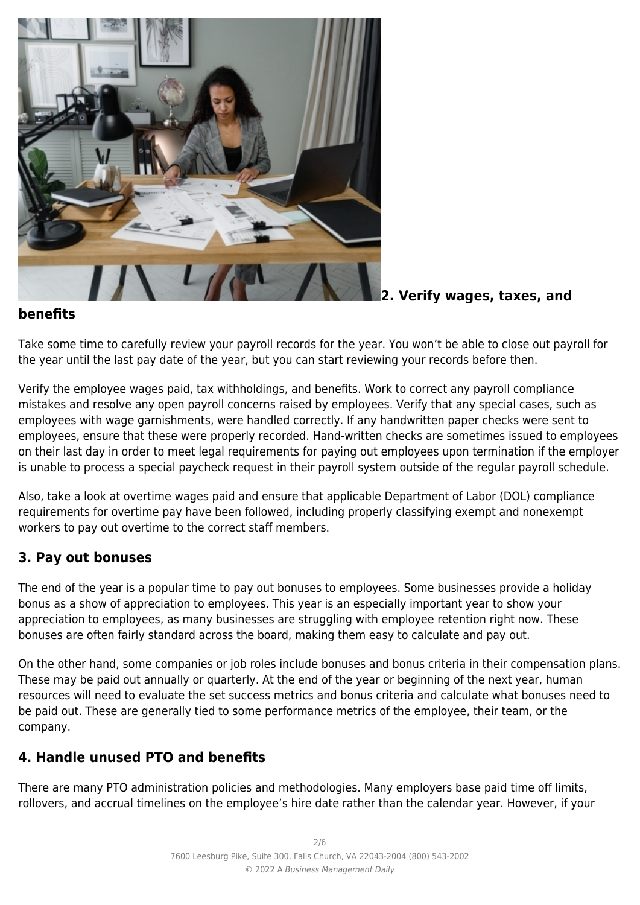

**2. Verify wages, taxes, and**

#### **benefits**

Take some time to carefully review your payroll records for the year. You won't be able to close out payroll for the year until the last pay date of the year, but you can start reviewing your records before then.

Verify the employee wages paid, tax withholdings, and benefits. Work to correct any payroll compliance mistakes and resolve any open payroll concerns raised by employees. Verify that any special cases, such as employees with wage garnishments, were handled correctly. If any handwritten paper checks were sent to employees, ensure that these were properly recorded. Hand-written checks are sometimes issued to employees on their last day in order to meet legal requirements for paying out employees upon termination if the employer is unable to process a special paycheck request in their payroll system outside of the regular payroll schedule.

Also, take a look at overtime wages paid and ensure that applicable Department of Labor (DOL) compliance requirements for overtime pay have been followed, including properly classifying exempt and nonexempt workers to pay out overtime to the correct staff members.

# **3. Pay out bonuses**

The end of the year is a popular time to pay out bonuses to employees. Some businesses provide a holiday bonus as a show of appreciation to employees. This year is an especially important year to show your appreciation to employees, as many businesses are struggling with employee retention right now. These bonuses are often fairly standard across the board, making them easy to calculate and pay out.

On the other hand, some companies or job roles include bonuses and bonus criteria in their compensation plans. These may be paid out annually or quarterly. At the end of the year or beginning of the next year, human resources will need to evaluate the set success metrics and bonus criteria and calculate what bonuses need to be paid out. These are generally tied to some performance metrics of the employee, their team, or the company.

# **4. Handle unused PTO and benefits**

There are many PTO administration policies and methodologies. Many employers base paid time off limits, rollovers, and accrual timelines on the employee's hire date rather than the calendar year. However, if your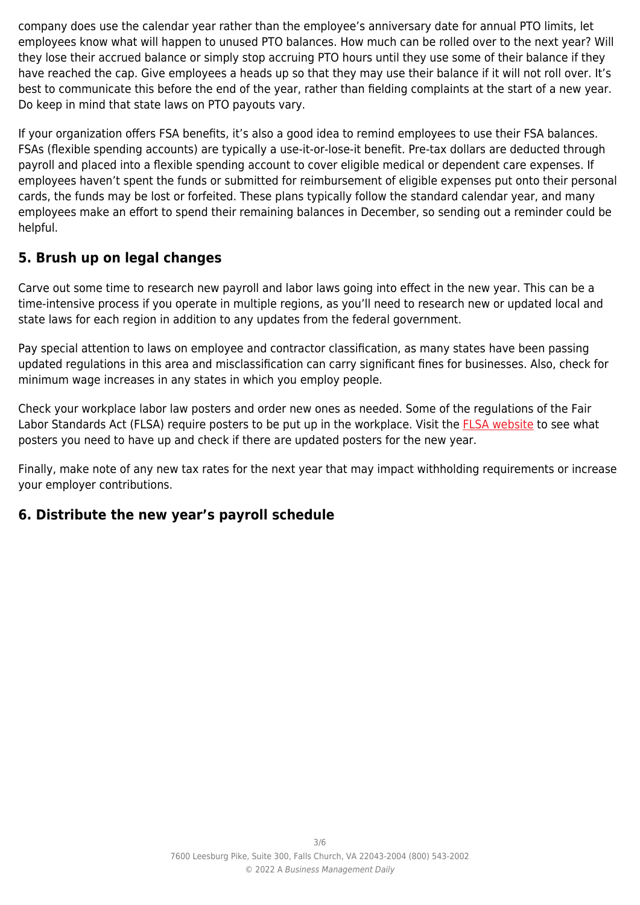company does use the calendar year rather than the employee's anniversary date for annual PTO limits, let employees know what will happen to unused PTO balances. How much can be rolled over to the next year? Will they lose their accrued balance or simply stop accruing PTO hours until they use some of their balance if they have reached the cap. Give employees a heads up so that they may use their balance if it will not roll over. It's best to communicate this before the end of the year, rather than fielding complaints at the start of a new year. Do keep in mind that state laws on PTO payouts vary.

If your organization offers FSA benefits, it's also a good idea to remind employees to use their FSA balances. FSAs (flexible spending accounts) are typically a use-it-or-lose-it benefit. Pre-tax dollars are deducted through payroll and placed into a flexible spending account to cover eligible medical or dependent care expenses. If employees haven't spent the funds or submitted for reimbursement of eligible expenses put onto their personal cards, the funds may be lost or forfeited. These plans typically follow the standard calendar year, and many employees make an effort to spend their remaining balances in December, so sending out a reminder could be helpful.

# **5. Brush up on legal changes**

Carve out some time to research new payroll and labor laws going into effect in the new year. This can be a time-intensive process if you operate in multiple regions, as you'll need to research new or updated local and state laws for each region in addition to any updates from the federal government.

Pay special attention to laws on employee and contractor classification, as many states have been passing updated regulations in this area and misclassification can carry significant fines for businesses. Also, check for minimum wage increases in any states in which you employ people.

Check your workplace labor law posters and order new ones as needed. Some of the regulations of the Fair Labor Standards Act (FLSA) require posters to be put up in the workplace. Visit the [FLSA website](https://www.dol.gov/agencies/whd/posters) to see what posters you need to have up and check if there are updated posters for the new year.

Finally, make note of any new tax rates for the next year that may impact withholding requirements or increase your employer contributions.

### **6. Distribute the new year's payroll schedule**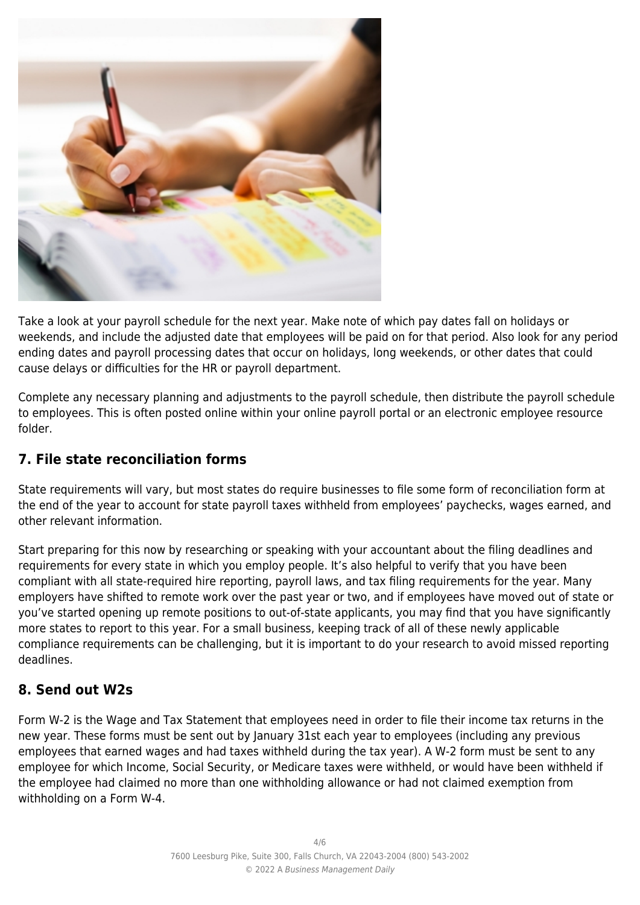

Take a look at your payroll schedule for the next year. Make note of which pay dates fall on holidays or weekends, and include the adjusted date that employees will be paid on for that period. Also look for any period ending dates and payroll processing dates that occur on holidays, long weekends, or other dates that could cause delays or difficulties for the HR or payroll department.

Complete any necessary planning and adjustments to the payroll schedule, then distribute the payroll schedule to employees. This is often posted online within your online payroll portal or an electronic employee resource folder.

# **7. File state reconciliation forms**

State requirements will vary, but most states do require businesses to file some form of reconciliation form at the end of the year to account for state payroll taxes withheld from employees' paychecks, wages earned, and other relevant information.

Start preparing for this now by researching or speaking with your accountant about the filing deadlines and requirements for every state in which you employ people. It's also helpful to verify that you have been compliant with all state-required hire reporting, payroll laws, and tax filing requirements for the year. Many employers have shifted to remote work over the past year or two, and if employees have moved out of state or you've started opening up remote positions to out-of-state applicants, you may find that you have significantly more states to report to this year. For a small business, keeping track of all of these newly applicable compliance requirements can be challenging, but it is important to do your research to avoid missed reporting deadlines.

# **8. Send out W2s**

Form W-2 is the Wage and Tax Statement that employees need in order to file their income tax returns in the new year. These forms must be sent out by January 31st each year to employees (including any previous employees that earned wages and had taxes withheld during the tax year). A W-2 form must be sent to any employee for which Income, Social Security, or Medicare taxes were withheld, or would have been withheld if the employee had claimed no more than one withholding allowance or had not claimed exemption from withholding on a Form W-4.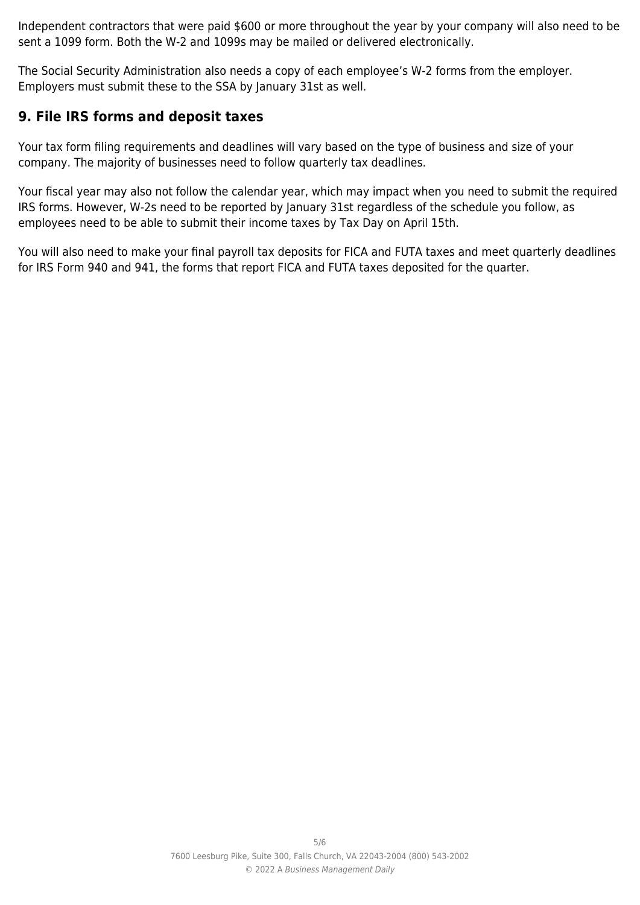Independent contractors that were paid \$600 or more throughout the year by your company will also need to be sent a 1099 form. Both the W-2 and 1099s may be mailed or delivered electronically.

The Social Security Administration also needs a copy of each employee's W-2 forms from the employer. Employers must submit these to the SSA by January 31st as well.

### **9. File IRS forms and deposit taxes**

Your tax form filing requirements and deadlines will vary based on the type of business and size of your company. The majority of businesses need to follow quarterly tax deadlines.

Your fiscal year may also not follow the calendar year, which may impact when you need to submit the required IRS forms. However, W-2s need to be reported by January 31st regardless of the schedule you follow, as employees need to be able to submit their income taxes by Tax Day on April 15th.

You will also need to make your final payroll tax deposits for FICA and FUTA taxes and meet quarterly deadlines for IRS Form 940 and 941, the forms that report FICA and FUTA taxes deposited for the quarter.